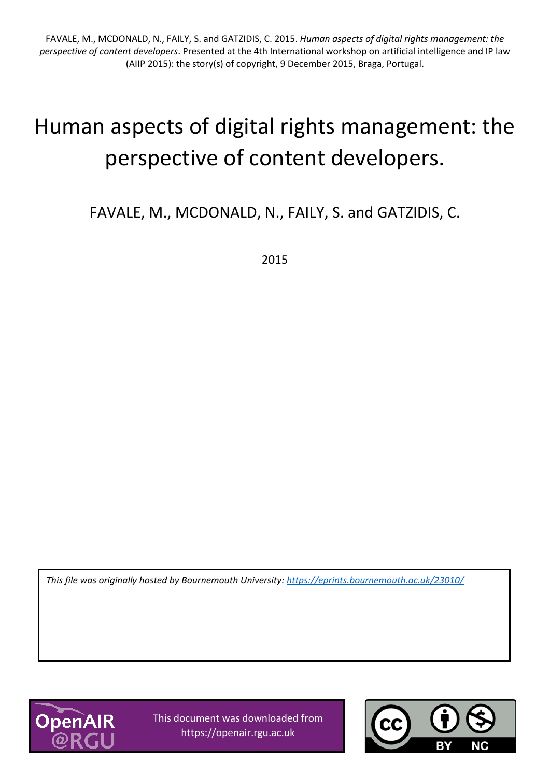FAVALE, M., MCDONALD, N., FAILY, S. and GATZIDIS, C. 2015. *Human aspects of digital rights management: the perspective of content developers*. Presented at the 4th International workshop on artificial intelligence and IP law (AIIP 2015): the story(s) of copyright, 9 December 2015, Braga, Portugal.

# Human aspects of digital rights management: the perspective of content developers.

FAVALE, M., MCDONALD, N., FAILY, S. and GATZIDIS, C.

2015

*This file was originally hosted by Bournemouth University:<https://eprints.bournemouth.ac.uk/23010/>*



This document was downloaded from https://openair.rgu.ac.uk

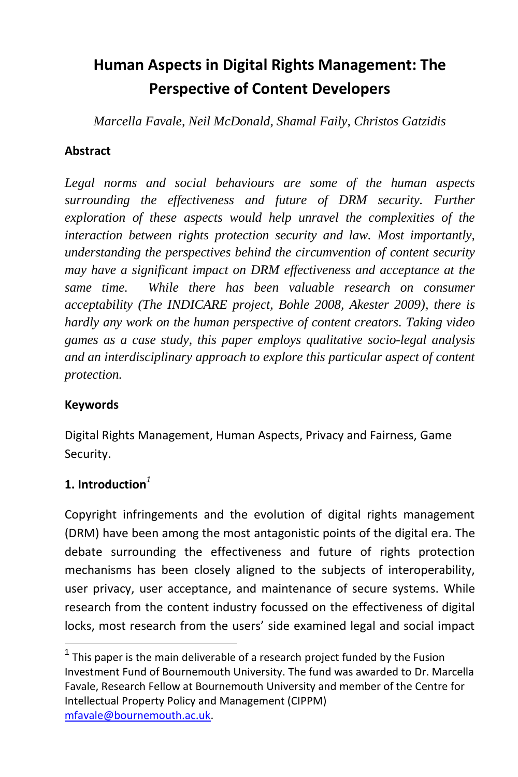# **Human Aspects in Digital Rights Management: The Perspective of Content Developers**

*Marcella Favale, Neil McDonald, Shamal Faily, Christos Gatzidis*

#### **Abstract**

*Legal norms and social behaviours are some of the human aspects surrounding the effectiveness and future of DRM security. Further exploration of these aspects would help unravel the complexities of the interaction between rights protection security and law. Most importantly, understanding the perspectives behind the circumvention of content security may have a significant impact on DRM effectiveness and acceptance at the same time.* While there has been valuable research on consumer *acceptability (The INDICARE project, Bohle 2008, Akester 2009), there is hardly any work on the human perspective of content creators. Taking video games as a case study, this paper employs qualitative socio-legal analysis and an interdisciplinary approach to explore this particular aspect of content protection.*

# **Keywords**

Digital Rights Management, Human Aspects, Privacy and Fairness, Game Security.

# **1. Introduction***<sup>1</sup>*

 $\overline{a}$ 

Copyright infringements and the evolution of digital rights management (DRM) have been among the most antagonistic points of the digital era. The debate surrounding the effectiveness and future of rights protection mechanisms has been closely aligned to the subjects of interoperability, user privacy, user acceptance, and maintenance of secure systems. While research from the content industry focussed on the effectiveness of digital locks, most research from the users' side examined legal and social impact

 $<sup>1</sup>$  This paper is the main deliverable of a research project funded by the Fusion</sup> Investment Fund of Bournemouth University. The fund was awarded to Dr. Marcella Favale, Research Fellow at Bournemouth University and member of the Centre for Intellectual Property Policy and Management (CIPPM) [mfavale@bournemouth.ac.uk.](mailto:mfavale@bournemouth.ac.uk)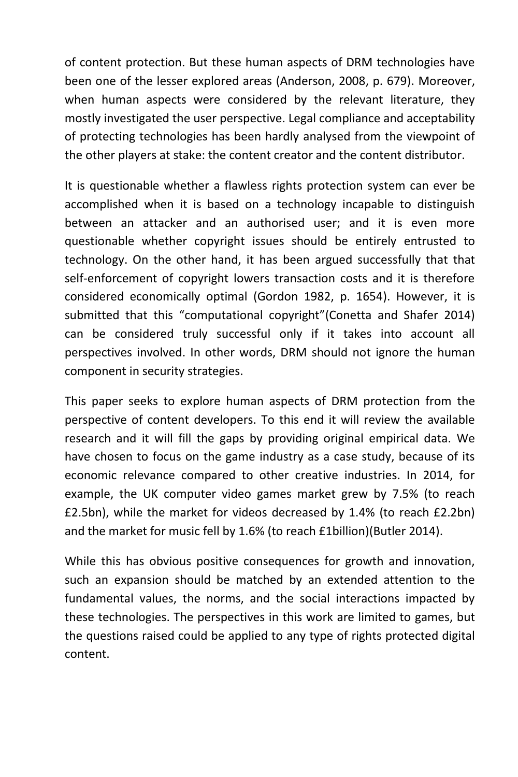of content protection. But these human aspects of DRM technologies have been one of the lesser explored areas (Anderson, 2008, p. 679). Moreover, when human aspects were considered by the relevant literature, they mostly investigated the user perspective. Legal compliance and acceptability of protecting technologies has been hardly analysed from the viewpoint of the other players at stake: the content creator and the content distributor.

It is questionable whether a flawless rights protection system can ever be accomplished when it is based on a technology incapable to distinguish between an attacker and an authorised user; and it is even more questionable whether copyright issues should be entirely entrusted to technology. On the other hand, it has been argued successfully that that self-enforcement of copyright lowers transaction costs and it is therefore considered economically optimal (Gordon 1982, p. 1654). However, it is submitted that this "computational copyright"(Conetta and Shafer 2014) can be considered truly successful only if it takes into account all perspectives involved. In other words, DRM should not ignore the human component in security strategies.

This paper seeks to explore human aspects of DRM protection from the perspective of content developers. To this end it will review the available research and it will fill the gaps by providing original empirical data. We have chosen to focus on the game industry as a case study, because of its economic relevance compared to other creative industries. In 2014, for example, the UK computer video games market grew by 7.5% (to reach £2.5bn), while the market for videos decreased by 1.4% (to reach £2.2bn) and the market for music fell by 1.6% (to reach £1billion)(Butler 2014).

While this has obvious positive consequences for growth and innovation, such an expansion should be matched by an extended attention to the fundamental values, the norms, and the social interactions impacted by these technologies. The perspectives in this work are limited to games, but the questions raised could be applied to any type of rights protected digital content.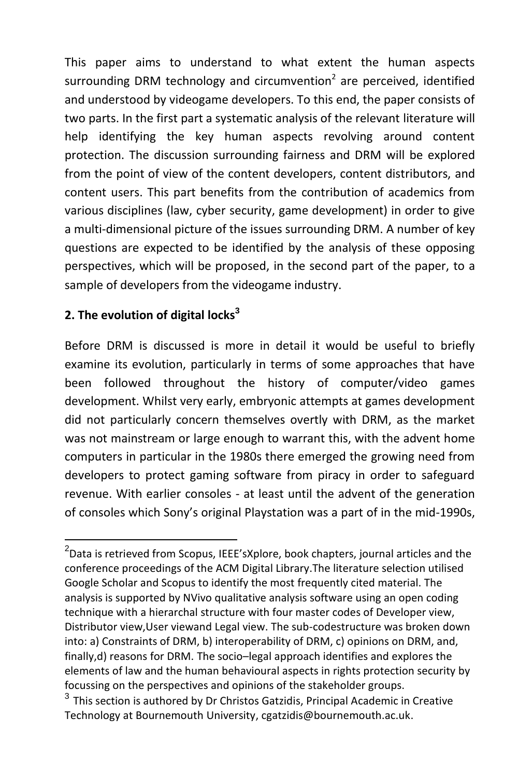This paper aims to understand to what extent the human aspects surrounding DRM technology and circumvention<sup>2</sup> are perceived, identified and understood by videogame developers. To this end, the paper consists of two parts. In the first part a systematic analysis of the relevant literature will help identifying the key human aspects revolving around content protection. The discussion surrounding fairness and DRM will be explored from the point of view of the content developers, content distributors, and content users. This part benefits from the contribution of academics from various disciplines (law, cyber security, game development) in order to give a multi-dimensional picture of the issues surrounding DRM. A number of key questions are expected to be identified by the analysis of these opposing perspectives, which will be proposed, in the second part of the paper, to a sample of developers from the videogame industry.

# **2. The evolution of digital locks<sup>3</sup>**

 $\overline{a}$ 

Before DRM is discussed is more in detail it would be useful to briefly examine its evolution, particularly in terms of some approaches that have been followed throughout the history of computer/video games development. Whilst very early, embryonic attempts at games development did not particularly concern themselves overtly with DRM, as the market was not mainstream or large enough to warrant this, with the advent home computers in particular in the 1980s there emerged the growing need from developers to protect gaming software from piracy in order to safeguard revenue. With earlier consoles - at least until the advent of the generation of consoles which Sony's original Playstation was a part of in the mid-1990s,

 $^2$ Data is retrieved from Scopus, IEEE'sXplore, book chapters, journal articles and the conference proceedings of the ACM Digital Library.The literature selection utilised Google Scholar and Scopus to identify the most frequently cited material. The analysis is supported by NVivo qualitative analysis software using an open coding technique with a hierarchal structure with four master codes of Developer view, Distributor view,User viewand Legal view. The sub-codestructure was broken down into: a) Constraints of DRM, b) interoperability of DRM, c) opinions on DRM, and, finally,d) reasons for DRM. The socio–legal approach identifies and explores the elements of law and the human behavioural aspects in rights protection security by focussing on the perspectives and opinions of the stakeholder groups.

 $^3$  This section is authored by Dr Christos Gatzidis, Principal Academic in Creative Technology at Bournemouth University, [cgatzidis@bournemouth.ac.uk.](mailto:cgatzidis@bournemouth.ac.uk)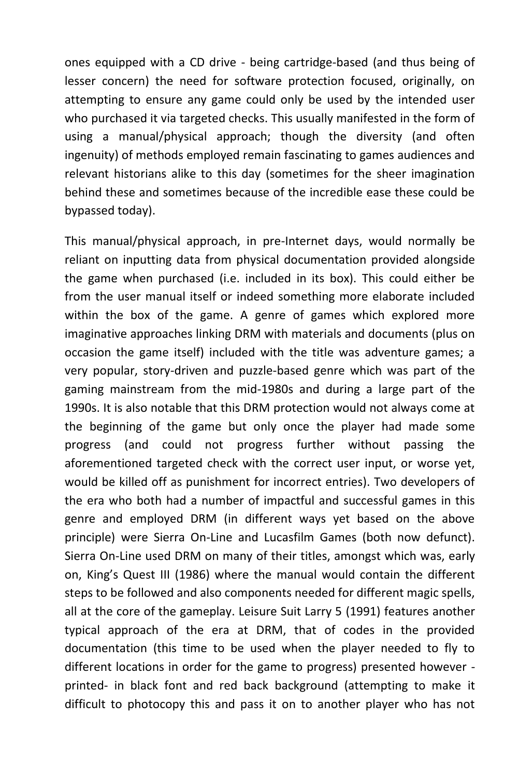ones equipped with a CD drive - being cartridge-based (and thus being of lesser concern) the need for software protection focused, originally, on attempting to ensure any game could only be used by the intended user who purchased it via targeted checks. This usually manifested in the form of using a manual/physical approach; though the diversity (and often ingenuity) of methods employed remain fascinating to games audiences and relevant historians alike to this day (sometimes for the sheer imagination behind these and sometimes because of the incredible ease these could be bypassed today).

This manual/physical approach, in pre-Internet days, would normally be reliant on inputting data from physical documentation provided alongside the game when purchased (i.e. included in its box). This could either be from the user manual itself or indeed something more elaborate included within the box of the game. A genre of games which explored more imaginative approaches linking DRM with materials and documents (plus on occasion the game itself) included with the title was adventure games; a very popular, story-driven and puzzle-based genre which was part of the gaming mainstream from the mid-1980s and during a large part of the 1990s. It is also notable that this DRM protection would not always come at the beginning of the game but only once the player had made some progress (and could not progress further without passing the aforementioned targeted check with the correct user input, or worse yet, would be killed off as punishment for incorrect entries). Two developers of the era who both had a number of impactful and successful games in this genre and employed DRM (in different ways yet based on the above principle) were Sierra On-Line and Lucasfilm Games (both now defunct). Sierra On-Line used DRM on many of their titles, amongst which was, early on, King's Quest III (1986) where the manual would contain the different steps to be followed and also components needed for different magic spells, all at the core of the gameplay. Leisure Suit Larry 5 (1991) features another typical approach of the era at DRM, that of codes in the provided documentation (this time to be used when the player needed to fly to different locations in order for the game to progress) presented however printed- in black font and red back background (attempting to make it difficult to photocopy this and pass it on to another player who has not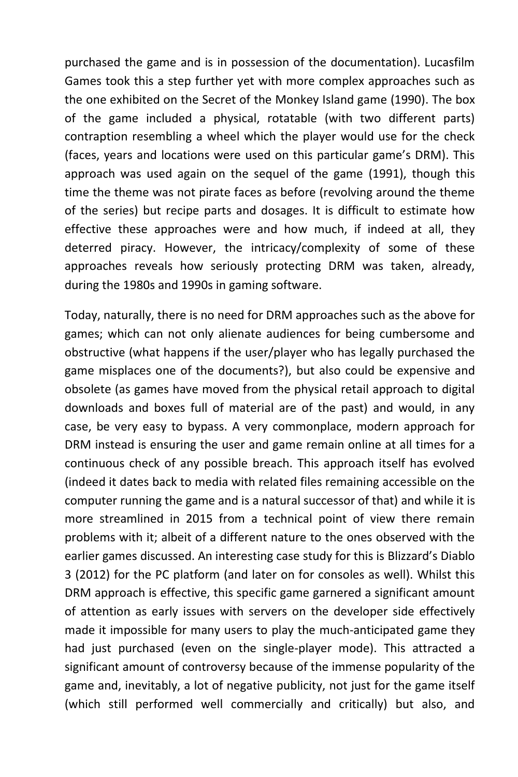purchased the game and is in possession of the documentation). Lucasfilm Games took this a step further yet with more complex approaches such as the one exhibited on the Secret of the Monkey Island game (1990). The box of the game included a physical, rotatable (with two different parts) contraption resembling a wheel which the player would use for the check (faces, years and locations were used on this particular game's DRM). This approach was used again on the sequel of the game (1991), though this time the theme was not pirate faces as before (revolving around the theme of the series) but recipe parts and dosages. It is difficult to estimate how effective these approaches were and how much, if indeed at all, they deterred piracy. However, the intricacy/complexity of some of these approaches reveals how seriously protecting DRM was taken, already, during the 1980s and 1990s in gaming software.

Today, naturally, there is no need for DRM approaches such as the above for games; which can not only alienate audiences for being cumbersome and obstructive (what happens if the user/player who has legally purchased the game misplaces one of the documents?), but also could be expensive and obsolete (as games have moved from the physical retail approach to digital downloads and boxes full of material are of the past) and would, in any case, be very easy to bypass. A very commonplace, modern approach for DRM instead is ensuring the user and game remain online at all times for a continuous check of any possible breach. This approach itself has evolved (indeed it dates back to media with related files remaining accessible on the computer running the game and is a natural successor of that) and while it is more streamlined in 2015 from a technical point of view there remain problems with it; albeit of a different nature to the ones observed with the earlier games discussed. An interesting case study for this is Blizzard's Diablo 3 (2012) for the PC platform (and later on for consoles as well). Whilst this DRM approach is effective, this specific game garnered a significant amount of attention as early issues with servers on the developer side effectively made it impossible for many users to play the much-anticipated game they had just purchased (even on the single-player mode). This attracted a significant amount of controversy because of the immense popularity of the game and, inevitably, a lot of negative publicity, not just for the game itself (which still performed well commercially and critically) but also, and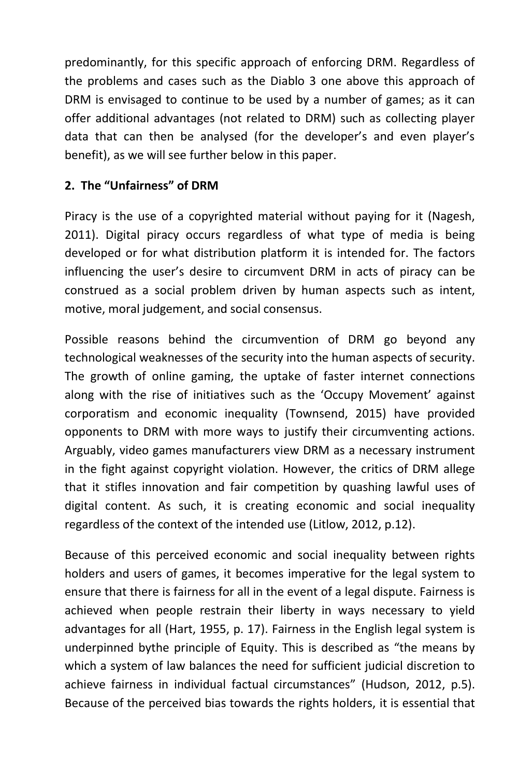predominantly, for this specific approach of enforcing DRM. Regardless of the problems and cases such as the Diablo 3 one above this approach of DRM is envisaged to continue to be used by a number of games; as it can offer additional advantages (not related to DRM) such as collecting player data that can then be analysed (for the developer's and even player's benefit), as we will see further below in this paper.

#### **2. The "Unfairness" of DRM**

Piracy is the use of a copyrighted material without paying for it (Nagesh, 2011). Digital piracy occurs regardless of what type of media is being developed or for what distribution platform it is intended for. The factors influencing the user's desire to circumvent DRM in acts of piracy can be construed as a social problem driven by human aspects such as intent, motive, moral judgement, and social consensus.

Possible reasons behind the circumvention of DRM go beyond any technological weaknesses of the security into the human aspects of security. The growth of online gaming, the uptake of faster internet connections along with the rise of initiatives such as the 'Occupy Movement' against corporatism and economic inequality (Townsend, 2015) have provided opponents to DRM with more ways to justify their circumventing actions. Arguably, video games manufacturers view DRM as a necessary instrument in the fight against copyright violation. However, the critics of DRM allege that it stifles innovation and fair competition by quashing lawful uses of digital content. As such, it is creating economic and social inequality regardless of the context of the intended use (Litlow, 2012, p.12).

Because of this perceived economic and social inequality between rights holders and users of games, it becomes imperative for the legal system to ensure that there is fairness for all in the event of a legal dispute. Fairness is achieved when people restrain their liberty in ways necessary to yield advantages for all (Hart, 1955, p. 17). Fairness in the English legal system is underpinned bythe principle of Equity. This is described as "the means by which a system of law balances the need for sufficient judicial discretion to achieve fairness in individual factual circumstances" (Hudson, 2012, p.5). Because of the perceived bias towards the rights holders, it is essential that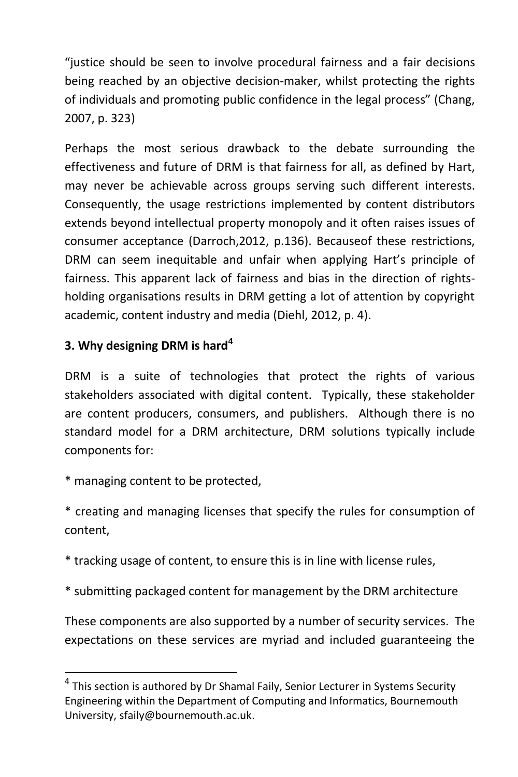"justice should be seen to involve procedural fairness and a fair decisions being reached by an objective decision-maker, whilst protecting the rights of individuals and promoting public confidence in the legal process" (Chang, 2007, p. 323)

Perhaps the most serious drawback to the debate surrounding the effectiveness and future of DRM is that fairness for all, as defined by Hart, may never be achievable across groups serving such different interests. Consequently, the usage restrictions implemented by content distributors extends beyond intellectual property monopoly and it often raises issues of consumer acceptance (Darroch,2012, p.136). Becauseof these restrictions, DRM can seem inequitable and unfair when applying Hart's principle of fairness. This apparent lack of fairness and bias in the direction of rightsholding organisations results in DRM getting a lot of attention by copyright academic, content industry and media (Diehl, 2012, p. 4).

# **3. Why designing DRM is hard<sup>4</sup>**

DRM is a suite of technologies that protect the rights of various stakeholders associated with digital content. Typically, these stakeholder are content producers, consumers, and publishers. Although there is no standard model for a DRM architecture, DRM solutions typically include components for:

\* managing content to be protected,

 $\overline{a}$ 

\* creating and managing licenses that specify the rules for consumption of content,

- \* tracking usage of content, to ensure this is in line with license rules,
- \* submitting packaged content for management by the DRM architecture

These components are also supported by a number of security services. The expectations on these services are myriad and included guaranteeing the

<sup>&</sup>lt;sup>4</sup> This section is authored by Dr Shamal Faily, Senior Lecturer in Systems Security Engineering within the Department of Computing and Informatics, Bournemouth University[, sfaily@bournemouth.ac.uk](mailto:sfaily@bournemouth.ac.uk).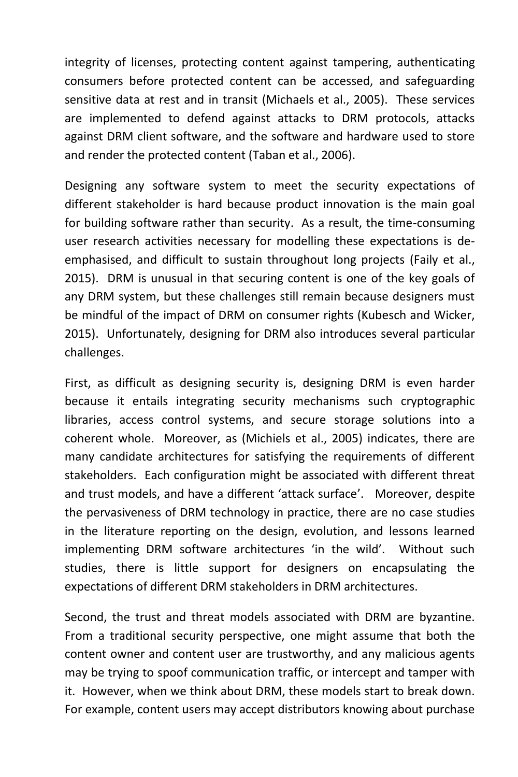integrity of licenses, protecting content against tampering, authenticating consumers before protected content can be accessed, and safeguarding sensitive data at rest and in transit (Michaels et al., 2005). These services are implemented to defend against attacks to DRM protocols, attacks against DRM client software, and the software and hardware used to store and render the protected content (Taban et al., 2006).

Designing any software system to meet the security expectations of different stakeholder is hard because product innovation is the main goal for building software rather than security. As a result, the time-consuming user research activities necessary for modelling these expectations is deemphasised, and difficult to sustain throughout long projects (Faily et al., 2015). DRM is unusual in that securing content is one of the key goals of any DRM system, but these challenges still remain because designers must be mindful of the impact of DRM on consumer rights (Kubesch and Wicker, 2015). Unfortunately, designing for DRM also introduces several particular challenges.

First, as difficult as designing security is, designing DRM is even harder because it entails integrating security mechanisms such cryptographic libraries, access control systems, and secure storage solutions into a coherent whole. Moreover, as (Michiels et al., 2005) indicates, there are many candidate architectures for satisfying the requirements of different stakeholders. Each configuration might be associated with different threat and trust models, and have a different 'attack surface'. Moreover, despite the pervasiveness of DRM technology in practice, there are no case studies in the literature reporting on the design, evolution, and lessons learned implementing DRM software architectures 'in the wild'. Without such studies, there is little support for designers on encapsulating the expectations of different DRM stakeholders in DRM architectures.

Second, the trust and threat models associated with DRM are byzantine. From a traditional security perspective, one might assume that both the content owner and content user are trustworthy, and any malicious agents may be trying to spoof communication traffic, or intercept and tamper with it. However, when we think about DRM, these models start to break down. For example, content users may accept distributors knowing about purchase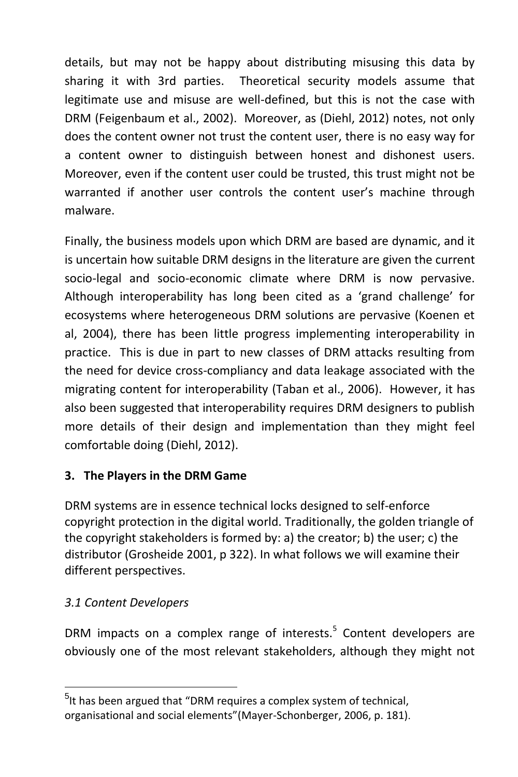details, but may not be happy about distributing misusing this data by sharing it with 3rd parties. Theoretical security models assume that legitimate use and misuse are well-defined, but this is not the case with DRM (Feigenbaum et al., 2002). Moreover, as (Diehl, 2012) notes, not only does the content owner not trust the content user, there is no easy way for a content owner to distinguish between honest and dishonest users. Moreover, even if the content user could be trusted, this trust might not be warranted if another user controls the content user's machine through malware.

Finally, the business models upon which DRM are based are dynamic, and it is uncertain how suitable DRM designs in the literature are given the current socio-legal and socio-economic climate where DRM is now pervasive. Although interoperability has long been cited as a 'grand challenge' for ecosystems where heterogeneous DRM solutions are pervasive (Koenen et al, 2004), there has been little progress implementing interoperability in practice. This is due in part to new classes of DRM attacks resulting from the need for device cross-compliancy and data leakage associated with the migrating content for interoperability (Taban et al., 2006). However, it has also been suggested that interoperability requires DRM designers to publish more details of their design and implementation than they might feel comfortable doing (Diehl, 2012).

#### **3. The Players in the DRM Game**

DRM systems are in essence technical locks designed to self-enforce copyright protection in the digital world. Traditionally, the golden triangle of the copyright stakeholders is formed by: a) the creator; b) the user; c) the distributor (Grosheide 2001, p 322). In what follows we will examine their different perspectives.

# *3.1 Content Developers*

l

DRM impacts on a complex range of interests.<sup>5</sup> Content developers are obviously one of the most relevant stakeholders, although they might not

<sup>&</sup>lt;sup>5</sup>It has been argued that "DRM requires a complex system of technical, organisational and social elements"(Mayer-Schonberger, 2006, p. 181).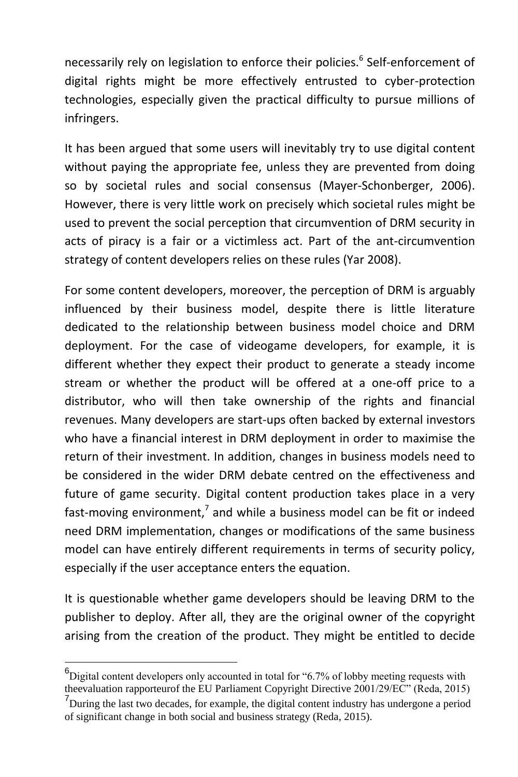necessarily rely on legislation to enforce their policies.<sup>6</sup> Self-enforcement of digital rights might be more effectively entrusted to cyber-protection technologies, especially given the practical difficulty to pursue millions of infringers.

It has been argued that some users will inevitably try to use digital content without paying the appropriate fee, unless they are prevented from doing so by societal rules and social consensus (Mayer-Schonberger, 2006). However, there is very little work on precisely which societal rules might be used to prevent the social perception that circumvention of DRM security in acts of piracy is a fair or a victimless act. Part of the ant-circumvention strategy of content developers relies on these rules (Yar 2008).

For some content developers, moreover, the perception of DRM is arguably influenced by their business model, despite there is little literature dedicated to the relationship between business model choice and DRM deployment. For the case of videogame developers, for example, it is different whether they expect their product to generate a steady income stream or whether the product will be offered at a one-off price to a distributor, who will then take ownership of the rights and financial revenues. Many developers are start-ups often backed by external investors who have a financial interest in DRM deployment in order to maximise the return of their investment. In addition, changes in business models need to be considered in the wider DRM debate centred on the effectiveness and future of game security. Digital content production takes place in a very fast-moving environment,<sup>7</sup> and while a business model can be fit or indeed need DRM implementation, changes or modifications of the same business model can have entirely different requirements in terms of security policy, especially if the user acceptance enters the equation.

It is questionable whether game developers should be leaving DRM to the publisher to deploy. After all, they are the original owner of the copyright arising from the creation of the product. They might be entitled to decide

 $\overline{a}$ 

 ${}^{6}$ Digital content developers only accounted in total for "6.7% of lobby meeting requests with theevaluation rapporteurof the EU Parliament Copyright Directive 2001/29/EC" (Reda, 2015)

<sup>&</sup>lt;sup>7</sup> During the last two decades, for example, the digital content industry has undergone a period of significant change in both social and business strategy (Reda, 2015).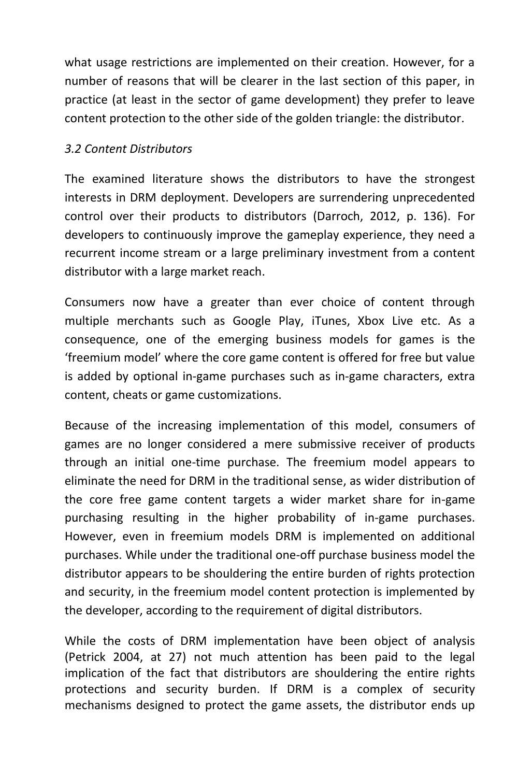what usage restrictions are implemented on their creation. However, for a number of reasons that will be clearer in the last section of this paper, in practice (at least in the sector of game development) they prefer to leave content protection to the other side of the golden triangle: the distributor.

#### *3.2 Content Distributors*

The examined literature shows the distributors to have the strongest interests in DRM deployment. Developers are surrendering unprecedented control over their products to distributors (Darroch, 2012, p. 136). For developers to continuously improve the gameplay experience, they need a recurrent income stream or a large preliminary investment from a content distributor with a large market reach.

Consumers now have a greater than ever choice of content through multiple merchants such as Google Play, iTunes, Xbox Live etc. As a consequence, one of the emerging business models for games is the 'freemium model' where the core game content is offered for free but value is added by optional in-game purchases such as in-game characters, extra content, cheats or game customizations.

Because of the increasing implementation of this model, consumers of games are no longer considered a mere submissive receiver of products through an initial one-time purchase. The freemium model appears to eliminate the need for DRM in the traditional sense, as wider distribution of the core free game content targets a wider market share for in-game purchasing resulting in the higher probability of in-game purchases. However, even in freemium models DRM is implemented on additional purchases. While under the traditional one-off purchase business model the distributor appears to be shouldering the entire burden of rights protection and security, in the freemium model content protection is implemented by the developer, according to the requirement of digital distributors.

While the costs of DRM implementation have been object of analysis (Petrick 2004, at 27) not much attention has been paid to the legal implication of the fact that distributors are shouldering the entire rights protections and security burden. If DRM is a complex of security mechanisms designed to protect the game assets, the distributor ends up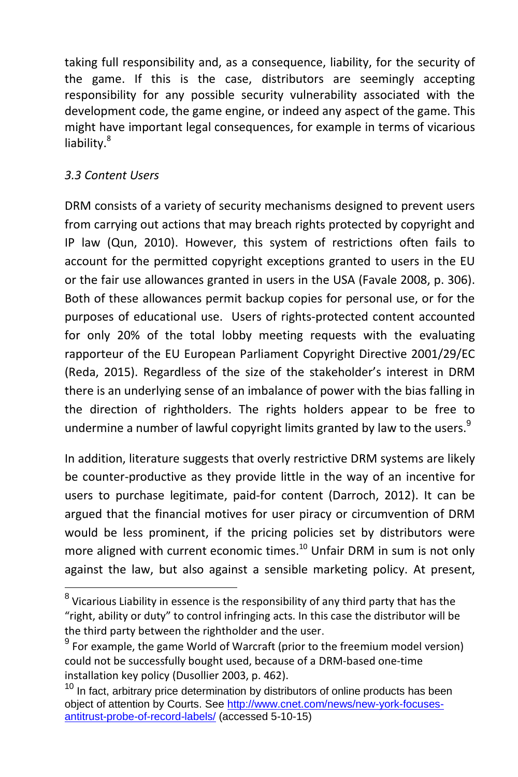taking full responsibility and, as a consequence, liability, for the security of the game. If this is the case, distributors are seemingly accepting responsibility for any possible security vulnerability associated with the development code, the game engine, or indeed any aspect of the game. This might have important legal consequences, for example in terms of vicarious liability. 8

#### *3.3 Content Users*

l

DRM consists of a variety of security mechanisms designed to prevent users from carrying out actions that may breach rights protected by copyright and IP law (Qun, 2010). However, this system of restrictions often fails to account for the permitted copyright exceptions granted to users in the EU or the fair use allowances granted in users in the USA (Favale 2008, p. 306). Both of these allowances permit backup copies for personal use, or for the purposes of educational use. Users of rights-protected content accounted for only 20% of the total lobby meeting requests with the evaluating rapporteur of the EU European Parliament Copyright Directive 2001/29/EC (Reda, 2015). Regardless of the size of the stakeholder's interest in DRM there is an underlying sense of an imbalance of power with the bias falling in the direction of rightholders. The rights holders appear to be free to undermine a number of lawful copyright limits granted by law to the users.<sup>9</sup>

In addition, literature suggests that overly restrictive DRM systems are likely be counter-productive as they provide little in the way of an incentive for users to purchase legitimate, paid-for content (Darroch, 2012). It can be argued that the financial motives for user piracy or circumvention of DRM would be less prominent, if the pricing policies set by distributors were more aligned with current economic times.<sup>10</sup> Unfair DRM in sum is not only against the law, but also against a sensible marketing policy. At present,

 $^8$  Vicarious Liability in essence is the responsibility of any third party that has the "right, ability or duty" to control infringing acts. In this case the distributor will be the third party between the rightholder and the user.

 $^9$  For example, the game World of Warcraft (prior to the freemium model version) could not be successfully bought used, because of a DRM-based one-time installation key policy (Dusollier 2003, p. 462).

 $10$  In fact, arbitrary price determination by distributors of online products has been object of attention by Courts. Se[e http://www.cnet.com/news/new-york-focuses](http://www.cnet.com/news/new-york-focuses-antitrust-probe-of-record-labels/)[antitrust-probe-of-record-labels/](http://www.cnet.com/news/new-york-focuses-antitrust-probe-of-record-labels/) (accessed 5-10-15)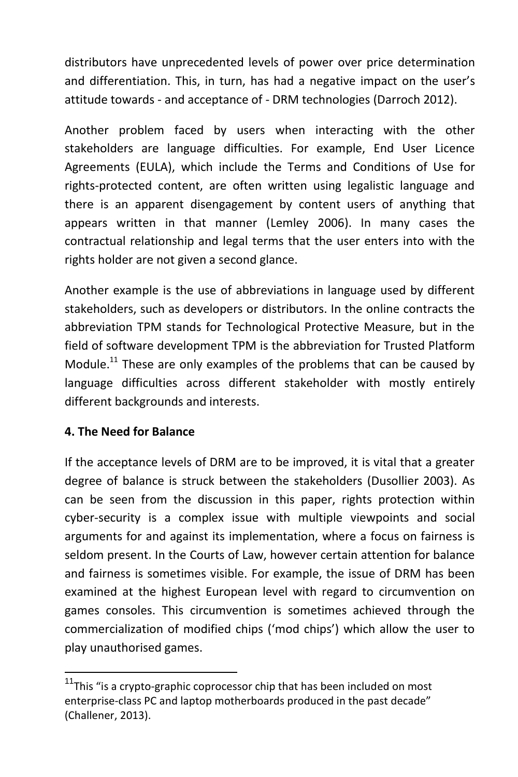distributors have unprecedented levels of power over price determination and differentiation. This, in turn, has had a negative impact on the user's attitude towards - and acceptance of - DRM technologies (Darroch 2012).

Another problem faced by users when interacting with the other stakeholders are language difficulties. For example, End User Licence Agreements (EULA), which include the Terms and Conditions of Use for rights-protected content, are often written using legalistic language and there is an apparent disengagement by content users of anything that appears written in that manner (Lemley 2006). In many cases the contractual relationship and legal terms that the user enters into with the rights holder are not given a second glance.

Another example is the use of abbreviations in language used by different stakeholders, such as developers or distributors. In the online contracts the abbreviation TPM stands for Technological Protective Measure, but in the field of software development TPM is the abbreviation for Trusted Platform Module.<sup>11</sup> These are only examples of the problems that can be caused by language difficulties across different stakeholder with mostly entirely different backgrounds and interests.

#### **4. The Need for Balance**

 $\overline{a}$ 

If the acceptance levels of DRM are to be improved, it is vital that a greater degree of balance is struck between the stakeholders (Dusollier 2003). As can be seen from the discussion in this paper, rights protection within cyber-security is a complex issue with multiple viewpoints and social arguments for and against its implementation, where a focus on fairness is seldom present. In the Courts of Law, however certain attention for balance and fairness is sometimes visible. For example, the issue of DRM has been examined at the highest European level with regard to circumvention on games consoles. This circumvention is sometimes achieved through the commercialization of modified chips ('mod chips') which allow the user to play unauthorised games.

<sup>&</sup>lt;sup>11</sup>This "is a crypto-graphic coprocessor chip that has been included on most enterprise-class PC and laptop motherboards produced in the past decade" (Challener, 2013).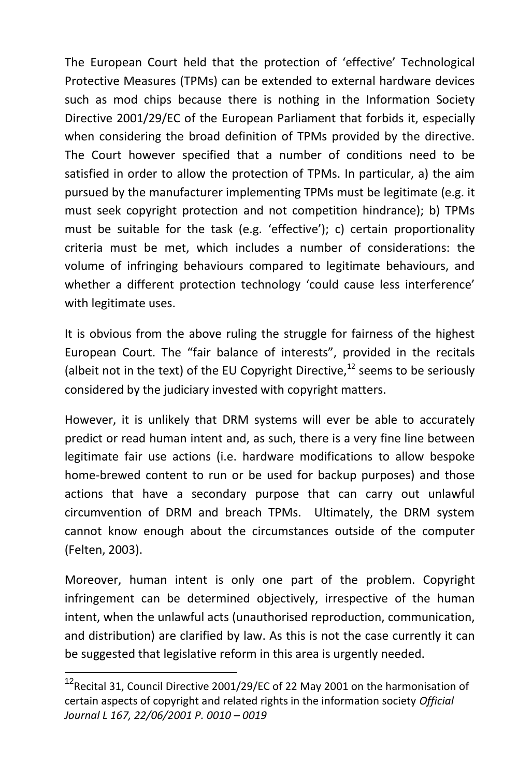The European Court held that the protection of 'effective' Technological Protective Measures (TPMs) can be extended to external hardware devices such as mod chips because there is nothing in the Information Society Directive 2001/29/EC of the European Parliament that forbids it, especially when considering the broad definition of TPMs provided by the directive. The Court however specified that a number of conditions need to be satisfied in order to allow the protection of TPMs. In particular, a) the aim pursued by the manufacturer implementing TPMs must be legitimate (e.g. it must seek copyright protection and not competition hindrance); b) TPMs must be suitable for the task (e.g. 'effective'); c) certain proportionality criteria must be met, which includes a number of considerations: the volume of infringing behaviours compared to legitimate behaviours, and whether a different protection technology 'could cause less interference' with legitimate uses.

It is obvious from the above ruling the struggle for fairness of the highest European Court. The "fair balance of interests", provided in the recitals (albeit not in the text) of the EU Copyright Directive,  $12$  seems to be seriously considered by the judiciary invested with copyright matters.

However, it is unlikely that DRM systems will ever be able to accurately predict or read human intent and, as such, there is a very fine line between legitimate fair use actions (i.e. hardware modifications to allow bespoke home-brewed content to run or be used for backup purposes) and those actions that have a secondary purpose that can carry out unlawful circumvention of DRM and breach TPMs. Ultimately, the DRM system cannot know enough about the circumstances outside of the computer (Felten, 2003).

Moreover, human intent is only one part of the problem. Copyright infringement can be determined objectively, irrespective of the human intent, when the unlawful acts (unauthorised reproduction, communication, and distribution) are clarified by law. As this is not the case currently it can be suggested that legislative reform in this area is urgently needed.

 $\overline{a}$ 

 $12$ Recital 31, Council Directive 2001/29/EC of 22 May 2001 on the harmonisation of certain aspects of copyright and related rights in the information society *Official Journal L 167, 22/06/2001 P. 0010 – 0019*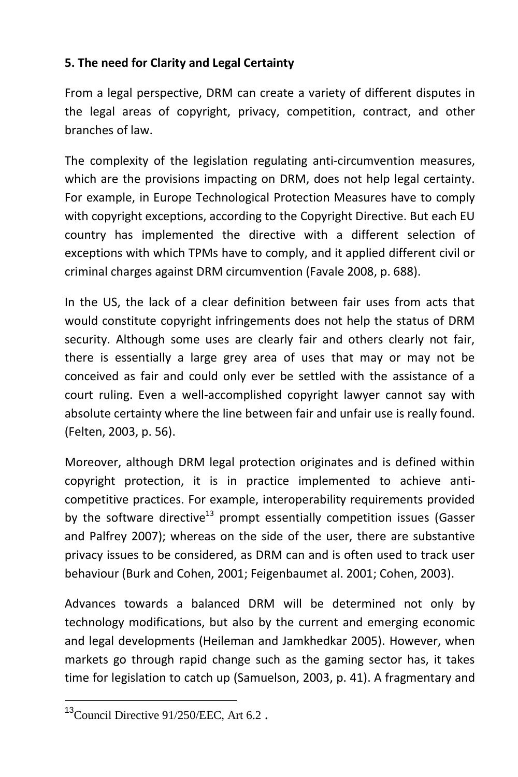# **5. The need for Clarity and Legal Certainty**

From a legal perspective, DRM can create a variety of different disputes in the legal areas of copyright, privacy, competition, contract, and other branches of law.

The complexity of the legislation regulating anti-circumvention measures, which are the provisions impacting on DRM, does not help legal certainty. For example, in Europe Technological Protection Measures have to comply with copyright exceptions, according to the Copyright Directive. But each EU country has implemented the directive with a different selection of exceptions with which TPMs have to comply, and it applied different civil or criminal charges against DRM circumvention (Favale 2008, p. 688).

In the US, the lack of a clear definition between fair uses from acts that would constitute copyright infringements does not help the status of DRM security. Although some uses are clearly fair and others clearly not fair, there is essentially a large grey area of uses that may or may not be conceived as fair and could only ever be settled with the assistance of a court ruling. Even a well-accomplished copyright lawyer cannot say with absolute certainty where the line between fair and unfair use is really found. (Felten, 2003, p. 56).

Moreover, although DRM legal protection originates and is defined within copyright protection, it is in practice implemented to achieve anticompetitive practices. For example, interoperability requirements provided by the software directive<sup>13</sup> prompt essentially competition issues (Gasser and Palfrey 2007); whereas on the side of the user, there are substantive privacy issues to be considered, as DRM can and is often used to track user behaviour (Burk and Cohen, 2001; Feigenbaumet al. 2001; Cohen, 2003).

Advances towards a balanced DRM will be determined not only by technology modifications, but also by the current and emerging economic and legal developments (Heileman and Jamkhedkar 2005). However, when markets go through rapid change such as the gaming sector has, it takes time for legislation to catch up (Samuelson, 2003, p. 41). A fragmentary and

 $\overline{a}$ 

<sup>&</sup>lt;sup>13</sup>Council Directive 91/250/EEC, Art 6.2.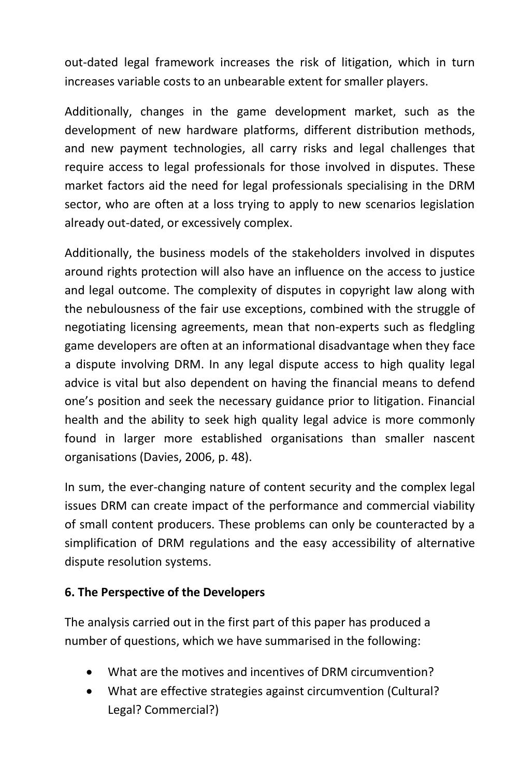out-dated legal framework increases the risk of litigation, which in turn increases variable costs to an unbearable extent for smaller players.

Additionally, changes in the game development market, such as the development of new hardware platforms, different distribution methods, and new payment technologies, all carry risks and legal challenges that require access to legal professionals for those involved in disputes. These market factors aid the need for legal professionals specialising in the DRM sector, who are often at a loss trying to apply to new scenarios legislation already out-dated, or excessively complex.

Additionally, the business models of the stakeholders involved in disputes around rights protection will also have an influence on the access to justice and legal outcome. The complexity of disputes in copyright law along with the nebulousness of the fair use exceptions, combined with the struggle of negotiating licensing agreements, mean that non-experts such as fledgling game developers are often at an informational disadvantage when they face a dispute involving DRM. In any legal dispute access to high quality legal advice is vital but also dependent on having the financial means to defend one's position and seek the necessary guidance prior to litigation. Financial health and the ability to seek high quality legal advice is more commonly found in larger more established organisations than smaller nascent organisations (Davies, 2006, p. 48).

In sum, the ever-changing nature of content security and the complex legal issues DRM can create impact of the performance and commercial viability of small content producers. These problems can only be counteracted by a simplification of DRM regulations and the easy accessibility of alternative dispute resolution systems.

#### **6. The Perspective of the Developers**

The analysis carried out in the first part of this paper has produced a number of questions, which we have summarised in the following:

- What are the motives and incentives of DRM circumvention?
- What are effective strategies against circumvention (Cultural? Legal? Commercial?)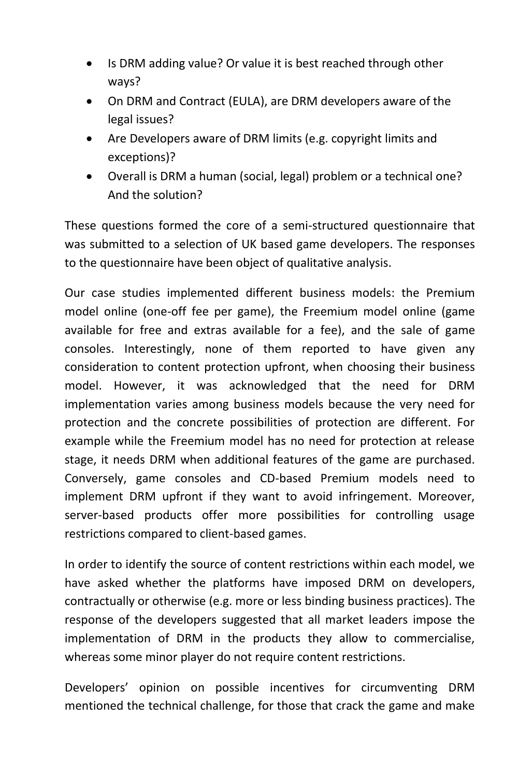- Is DRM adding value? Or value it is best reached through other ways?
- On DRM and Contract (EULA), are DRM developers aware of the legal issues?
- Are Developers aware of DRM limits (e.g. copyright limits and exceptions)?
- Overall is DRM a human (social, legal) problem or a technical one? And the solution?

These questions formed the core of a semi-structured questionnaire that was submitted to a selection of UK based game developers. The responses to the questionnaire have been object of qualitative analysis.

Our case studies implemented different business models: the Premium model online (one-off fee per game), the Freemium model online (game available for free and extras available for a fee), and the sale of game consoles. Interestingly, none of them reported to have given any consideration to content protection upfront, when choosing their business model. However, it was acknowledged that the need for DRM implementation varies among business models because the very need for protection and the concrete possibilities of protection are different. For example while the Freemium model has no need for protection at release stage, it needs DRM when additional features of the game are purchased. Conversely, game consoles and CD-based Premium models need to implement DRM upfront if they want to avoid infringement. Moreover, server-based products offer more possibilities for controlling usage restrictions compared to client-based games.

In order to identify the source of content restrictions within each model, we have asked whether the platforms have imposed DRM on developers, contractually or otherwise (e.g. more or less binding business practices). The response of the developers suggested that all market leaders impose the implementation of DRM in the products they allow to commercialise, whereas some minor player do not require content restrictions.

Developers' opinion on possible incentives for circumventing DRM mentioned the technical challenge, for those that crack the game and make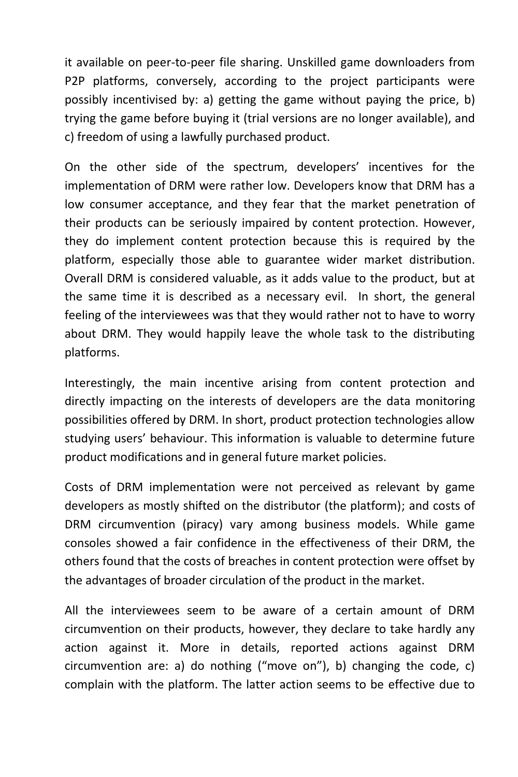it available on peer-to-peer file sharing. Unskilled game downloaders from P2P platforms, conversely, according to the project participants were possibly incentivised by: a) getting the game without paying the price, b) trying the game before buying it (trial versions are no longer available), and c) freedom of using a lawfully purchased product.

On the other side of the spectrum, developers' incentives for the implementation of DRM were rather low. Developers know that DRM has a low consumer acceptance, and they fear that the market penetration of their products can be seriously impaired by content protection. However, they do implement content protection because this is required by the platform, especially those able to guarantee wider market distribution. Overall DRM is considered valuable, as it adds value to the product, but at the same time it is described as a necessary evil. In short, the general feeling of the interviewees was that they would rather not to have to worry about DRM. They would happily leave the whole task to the distributing platforms.

Interestingly, the main incentive arising from content protection and directly impacting on the interests of developers are the data monitoring possibilities offered by DRM. In short, product protection technologies allow studying users' behaviour. This information is valuable to determine future product modifications and in general future market policies.

Costs of DRM implementation were not perceived as relevant by game developers as mostly shifted on the distributor (the platform); and costs of DRM circumvention (piracy) vary among business models. While game consoles showed a fair confidence in the effectiveness of their DRM, the others found that the costs of breaches in content protection were offset by the advantages of broader circulation of the product in the market.

All the interviewees seem to be aware of a certain amount of DRM circumvention on their products, however, they declare to take hardly any action against it. More in details, reported actions against DRM circumvention are: a) do nothing ("move on"), b) changing the code, c) complain with the platform. The latter action seems to be effective due to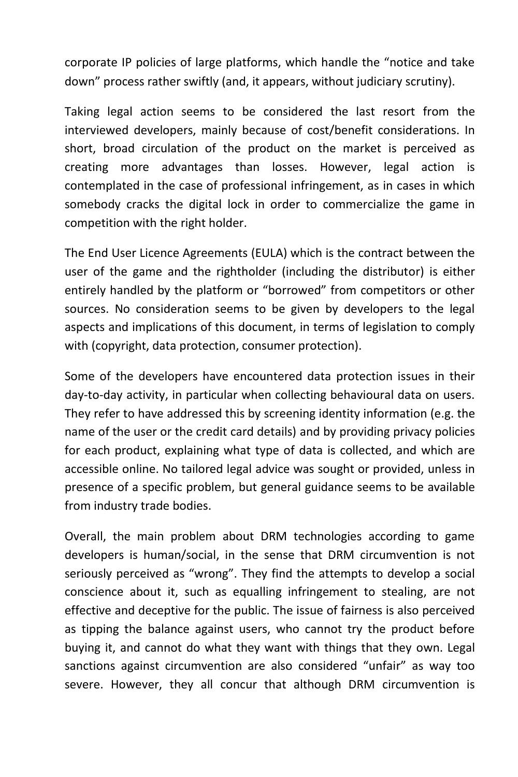corporate IP policies of large platforms, which handle the "notice and take down" process rather swiftly (and, it appears, without judiciary scrutiny).

Taking legal action seems to be considered the last resort from the interviewed developers, mainly because of cost/benefit considerations. In short, broad circulation of the product on the market is perceived as creating more advantages than losses. However, legal action is contemplated in the case of professional infringement, as in cases in which somebody cracks the digital lock in order to commercialize the game in competition with the right holder.

The End User Licence Agreements (EULA) which is the contract between the user of the game and the rightholder (including the distributor) is either entirely handled by the platform or "borrowed" from competitors or other sources. No consideration seems to be given by developers to the legal aspects and implications of this document, in terms of legislation to comply with (copyright, data protection, consumer protection).

Some of the developers have encountered data protection issues in their day-to-day activity, in particular when collecting behavioural data on users. They refer to have addressed this by screening identity information (e.g. the name of the user or the credit card details) and by providing privacy policies for each product, explaining what type of data is collected, and which are accessible online. No tailored legal advice was sought or provided, unless in presence of a specific problem, but general guidance seems to be available from industry trade bodies.

Overall, the main problem about DRM technologies according to game developers is human/social, in the sense that DRM circumvention is not seriously perceived as "wrong". They find the attempts to develop a social conscience about it, such as equalling infringement to stealing, are not effective and deceptive for the public. The issue of fairness is also perceived as tipping the balance against users, who cannot try the product before buying it, and cannot do what they want with things that they own. Legal sanctions against circumvention are also considered "unfair" as way too severe. However, they all concur that although DRM circumvention is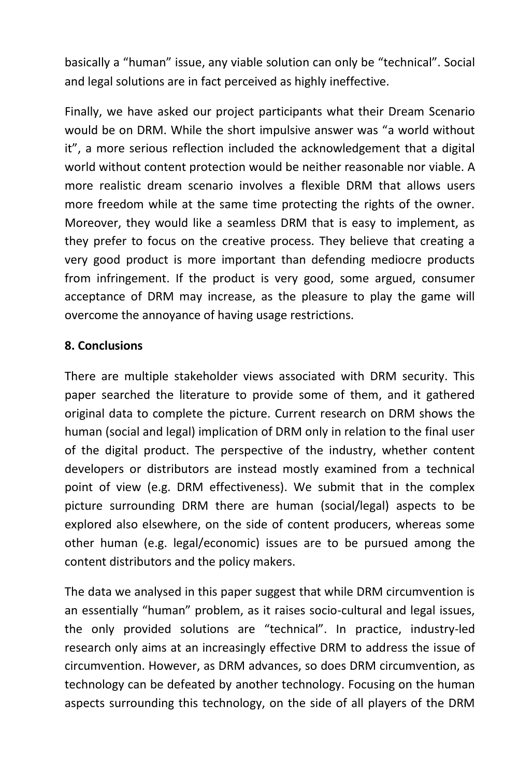basically a "human" issue, any viable solution can only be "technical". Social and legal solutions are in fact perceived as highly ineffective.

Finally, we have asked our project participants what their Dream Scenario would be on DRM. While the short impulsive answer was "a world without it", a more serious reflection included the acknowledgement that a digital world without content protection would be neither reasonable nor viable. A more realistic dream scenario involves a flexible DRM that allows users more freedom while at the same time protecting the rights of the owner. Moreover, they would like a seamless DRM that is easy to implement, as they prefer to focus on the creative process. They believe that creating a very good product is more important than defending mediocre products from infringement. If the product is very good, some argued, consumer acceptance of DRM may increase, as the pleasure to play the game will overcome the annoyance of having usage restrictions.

#### **8. Conclusions**

There are multiple stakeholder views associated with DRM security. This paper searched the literature to provide some of them, and it gathered original data to complete the picture. Current research on DRM shows the human (social and legal) implication of DRM only in relation to the final user of the digital product. The perspective of the industry, whether content developers or distributors are instead mostly examined from a technical point of view (e.g. DRM effectiveness). We submit that in the complex picture surrounding DRM there are human (social/legal) aspects to be explored also elsewhere, on the side of content producers, whereas some other human (e.g. legal/economic) issues are to be pursued among the content distributors and the policy makers.

The data we analysed in this paper suggest that while DRM circumvention is an essentially "human" problem, as it raises socio-cultural and legal issues, the only provided solutions are "technical". In practice, industry-led research only aims at an increasingly effective DRM to address the issue of circumvention. However, as DRM advances, so does DRM circumvention, as technology can be defeated by another technology. Focusing on the human aspects surrounding this technology, on the side of all players of the DRM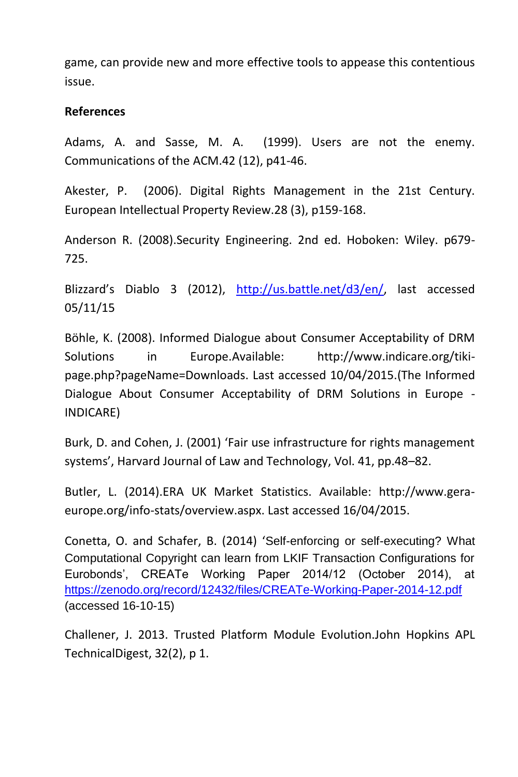game, can provide new and more effective tools to appease this contentious issue.

#### **References**

Adams, A. and Sasse, M. A. (1999). Users are not the enemy. Communications of the ACM.42 (12), p41-46.

Akester, P. (2006). Digital Rights Management in the 21st Century. European Intellectual Property Review.28 (3), p159-168.

Anderson R. (2008).Security Engineering. 2nd ed. Hoboken: Wiley. p679- 725.

Blizzard's Diablo 3 (2012), [http://us.battle.net/d3/en/,](http://us.battle.net/d3/en/) last accessed 05/11/15

Böhle, K. (2008). Informed Dialogue about Consumer Acceptability of DRM Solutions in Europe.Available: http://www.indicare.org/tikipage.php?pageName=Downloads. Last accessed 10/04/2015.(The Informed Dialogue About Consumer Acceptability of DRM Solutions in Europe - INDICARE)

Burk, D. and Cohen, J. (2001) 'Fair use infrastructure for rights management systems', Harvard Journal of Law and Technology, Vol. 41, pp.48–82.

Butler, L. (2014).ERA UK Market Statistics. Available: http://www.geraeurope.org/info-stats/overview.aspx. Last accessed 16/04/2015.

Conetta, O. and Schafer, B. (2014) 'Self-enforcing or self-executing? What Computational Copyright can learn from LKIF Transaction Configurations for Eurobonds', CREATe Working Paper 2014/12 (October 2014), at <https://zenodo.org/record/12432/files/CREATe-Working-Paper-2014-12.pdf> (accessed 16-10-15)

Challener, J. 2013. Trusted Platform Module Evolution.John Hopkins APL TechnicalDigest, 32(2), p 1.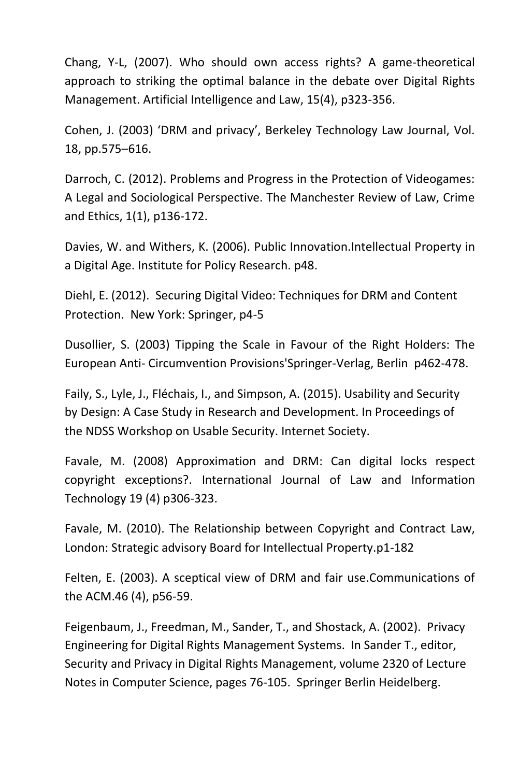Chang, Y-L, (2007). Who should own access rights? A game-theoretical approach to striking the optimal balance in the debate over Digital Rights Management. Artificial Intelligence and Law, 15(4), p323-356.

Cohen, J. (2003) 'DRM and privacy', Berkeley Technology Law Journal, Vol. 18, pp.575–616.

Darroch, C. (2012). Problems and Progress in the Protection of Videogames: A Legal and Sociological Perspective. The Manchester Review of Law, Crime and Ethics, 1(1), p136-172.

Davies, W. and Withers, K. (2006). Public Innovation.Intellectual Property in a Digital Age. Institute for Policy Research. p48.

Diehl, E. (2012). Securing Digital Video: Techniques for DRM and Content Protection. New York: Springer, p4-5

Dusollier, S. (2003) Tipping the Scale in Favour of the Right Holders: The European Anti- Circumvention Provisions'Springer-Verlag, Berlin p462-478.

Faily, S., Lyle, J., Fléchais, I., and Simpson, A. (2015). Usability and Security by Design: A Case Study in Research and Development. In Proceedings of the NDSS Workshop on Usable Security. Internet Society.

Favale, M. (2008) Approximation and DRM: Can digital locks respect copyright exceptions?. International Journal of Law and Information Technology 19 (4) p306-323.

Favale, M. (2010). The Relationship between Copyright and Contract Law, London: Strategic advisory Board for Intellectual Property.p1-182

Felten, E. (2003). A sceptical view of DRM and fair use.Communications of the ACM.46 (4), p56-59.

Feigenbaum, J., Freedman, M., Sander, T., and Shostack, A. (2002). Privacy Engineering for Digital Rights Management Systems. In Sander T., editor, Security and Privacy in Digital Rights Management, volume 2320 of Lecture Notes in Computer Science, pages 76-105. Springer Berlin Heidelberg.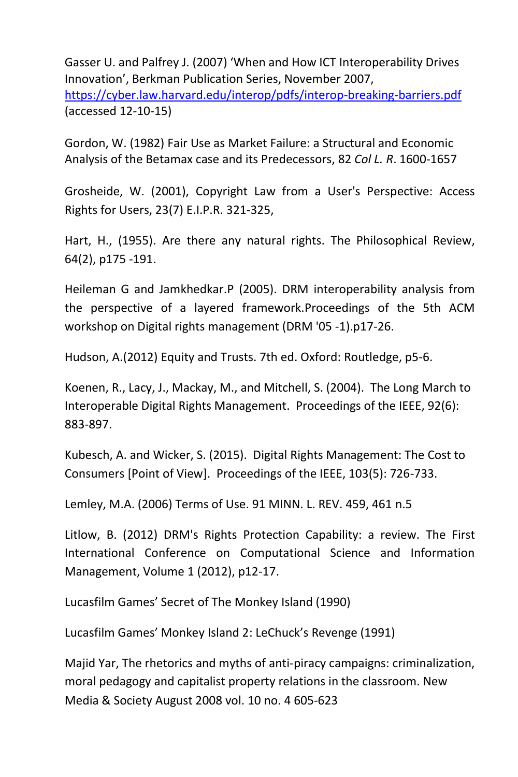Gasser U. and Palfrey J. (2007) 'When and How ICT Interoperability Drives Innovation', Berkman Publication Series, November 2007, <https://cyber.law.harvard.edu/interop/pdfs/interop-breaking-barriers.pdf> (accessed 12-10-15)

Gordon, W. (1982) Fair Use as Market Failure: a Structural and Economic Analysis of the Betamax case and its Predecessors, 82 *Col L. R*. 1600-1657

Grosheide, W. (2001), Copyright Law from a User's Perspective: Access Rights for Users, 23(7) E.I.P.R. 321-325,

Hart, H., (1955). Are there any natural rights. The Philosophical Review, 64(2), p175 -191.

Heileman G and Jamkhedkar.P (2005). DRM interoperability analysis from the perspective of a layered framework.Proceedings of the 5th ACM workshop on Digital rights management (DRM '05 -1).p17-26.

Hudson, A.(2012) Equity and Trusts. 7th ed. Oxford: Routledge, p5-6.

Koenen, R., Lacy, J., Mackay, M., and Mitchell, S. (2004). The Long March to Interoperable Digital Rights Management. Proceedings of the IEEE, 92(6): 883-897.

Kubesch, A. and Wicker, S. (2015). Digital Rights Management: The Cost to Consumers [Point of View]. Proceedings of the IEEE, 103(5): 726-733.

Lemley, M.A. (2006) Terms of Use. 91 MINN. L. REV. 459, 461 n.5

Litlow, B. (2012) DRM's Rights Protection Capability: a review. The First International Conference on Computational Science and Information Management, Volume 1 (2012), p12-17.

Lucasfilm Games' Secret of The Monkey Island (1990)

Lucasfilm Games' Monkey Island 2: LeChuck's Revenge (1991)

[Majid](http://nms.sagepub.com/search?author1=Majid+Yar&sortspec=date&submit=Submit) Yar, The rhetorics and myths of anti-piracy campaigns: criminalization, moral pedagogy and capitalist property relations in the classroom. New Media & Society August 2008 vol. 10 no. 4 605-623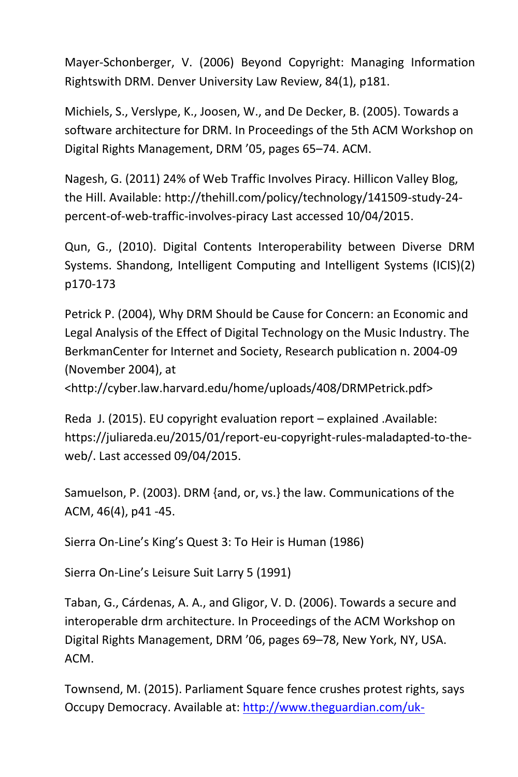Mayer-Schonberger, V. (2006) Beyond Copyright: Managing Information Rightswith DRM. Denver University Law Review, 84(1), p181.

Michiels, S., Verslype, K., Joosen, W., and De Decker, B. (2005). Towards a software architecture for DRM. In Proceedings of the 5th ACM Workshop on Digital Rights Management, DRM '05, pages 65–74. ACM.

Nagesh, G. (2011) 24% of Web Traffic Involves Piracy. Hillicon Valley Blog, the Hill. Available: [http://thehill.com/policy/technology/141509-study-24](http://thehill.com/policy/technology/141509-study-24-percent-of-web-traffic-involves-piracy%20Last%20accessed%2010/04/2015) [percent-of-web-traffic-involves-piracy Last accessed 10/04/2015.](http://thehill.com/policy/technology/141509-study-24-percent-of-web-traffic-involves-piracy%20Last%20accessed%2010/04/2015)

Qun, G., (2010). Digital Contents Interoperability between Diverse DRM Systems. Shandong, Intelligent Computing and Intelligent Systems (ICIS)(2) p170-173

Petrick P. (2004), Why DRM Should be Cause for Concern: an Economic and Legal Analysis of the Effect of Digital Technology on the Music Industry. The BerkmanCenter for Internet and Society, Research publication n. 2004-09 (November 2004), at

<http://cyber.law.harvard.edu/home/uploads/408/DRMPetrick.pdf>

Reda J. (2015). EU copyright evaluation report – explained .Available: https://juliareda.eu/2015/01/report-eu-copyright-rules-maladapted-to-theweb/. Last accessed 09/04/2015.

Samuelson, P. (2003). DRM {and, or, vs.} the law. Communications of the ACM, 46(4), p41 -45.

Sierra On-Line's King's Quest 3: To Heir is Human (1986)

Sierra On-Line's Leisure Suit Larry 5 (1991)

Taban, G., Cárdenas, A. A., and Gligor, V. D. (2006). Towards a secure and interoperable drm architecture. In Proceedings of the ACM Workshop on Digital Rights Management, DRM '06, pages 69–78, New York, NY, USA. ACM.

Townsend, M. (2015). Parliament Square fence crushes protest rights, says Occupy Democracy. Available at[: http://www.theguardian.com/uk-](http://www.theguardian.com/uk-news/2015/jan/03/boris-johnson-occupy-democracy-london-protest-fence%20Last%20accessed%2015/04/2015)